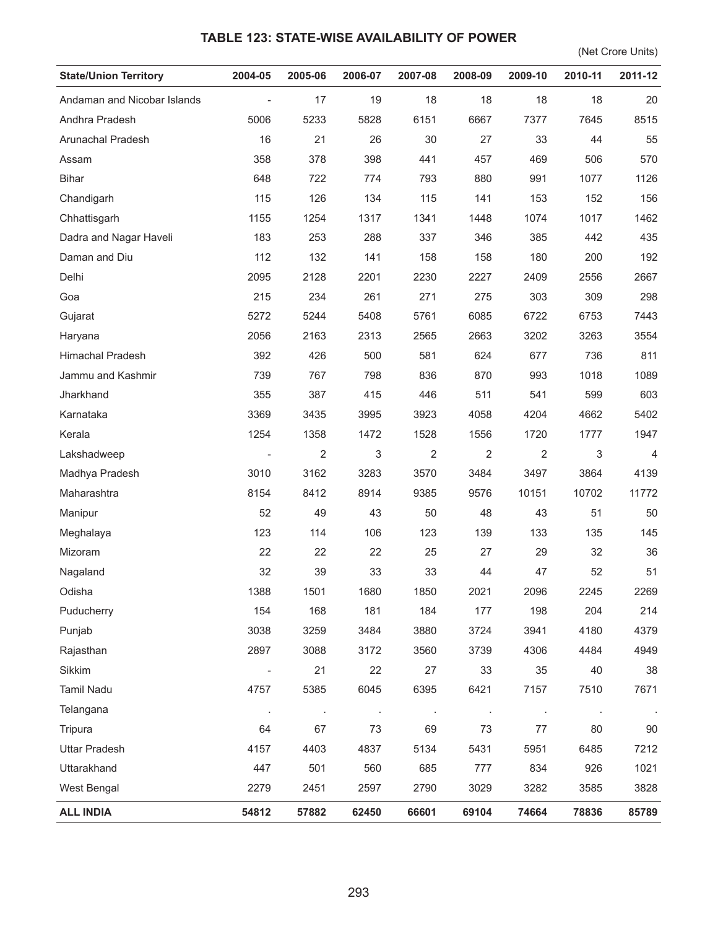## **TABLE 123: STATE-WISE AVAILABILITY OF POWER**

(Net Crore Units)

| <b>State/Union Territory</b> | 2004-05                  | 2005-06              | 2006-07 | 2007-08 | 2008-09        | 2009-10 | 2010-11 | 2011-12 |
|------------------------------|--------------------------|----------------------|---------|---------|----------------|---------|---------|---------|
| Andaman and Nicobar Islands  | $\overline{\phantom{a}}$ | 17                   | 19      | 18      | 18             | 18      | 18      | 20      |
| Andhra Pradesh               | 5006                     | 5233                 | 5828    | 6151    | 6667           | 7377    | 7645    | 8515    |
| Arunachal Pradesh            | 16                       | 21                   | 26      | 30      | 27             | 33      | 44      | 55      |
| Assam                        | 358                      | 378                  | 398     | 441     | 457            | 469     | 506     | 570     |
| <b>Bihar</b>                 | 648                      | 722                  | 774     | 793     | 880            | 991     | 1077    | 1126    |
| Chandigarh                   | 115                      | 126                  | 134     | 115     | 141            | 153     | 152     | 156     |
| Chhattisgarh                 | 1155                     | 1254                 | 1317    | 1341    | 1448           | 1074    | 1017    | 1462    |
| Dadra and Nagar Haveli       | 183                      | 253                  | 288     | 337     | 346            | 385     | 442     | 435     |
| Daman and Diu                | 112                      | 132                  | 141     | 158     | 158            | 180     | 200     | 192     |
| Delhi                        | 2095                     | 2128                 | 2201    | 2230    | 2227           | 2409    | 2556    | 2667    |
| Goa                          | 215                      | 234                  | 261     | 271     | 275            | 303     | 309     | 298     |
| Gujarat                      | 5272                     | 5244                 | 5408    | 5761    | 6085           | 6722    | 6753    | 7443    |
| Haryana                      | 2056                     | 2163                 | 2313    | 2565    | 2663           | 3202    | 3263    | 3554    |
| Himachal Pradesh             | 392                      | 426                  | 500     | 581     | 624            | 677     | 736     | 811     |
| Jammu and Kashmir            | 739                      | 767                  | 798     | 836     | 870            | 993     | 1018    | 1089    |
| Jharkhand                    | 355                      | 387                  | 415     | 446     | 511            | 541     | 599     | 603     |
| Karnataka                    | 3369                     | 3435                 | 3995    | 3923    | 4058           | 4204    | 4662    | 5402    |
| Kerala                       | 1254                     | 1358                 | 1472    | 1528    | 1556           | 1720    | 1777    | 1947    |
| Lakshadweep                  |                          | 2                    | 3       | 2       | $\overline{2}$ | 2       | 3       | 4       |
| Madhya Pradesh               | 3010                     | 3162                 | 3283    | 3570    | 3484           | 3497    | 3864    | 4139    |
| Maharashtra                  | 8154                     | 8412                 | 8914    | 9385    | 9576           | 10151   | 10702   | 11772   |
| Manipur                      | 52                       | 49                   | 43      | 50      | 48             | 43      | 51      | 50      |
| Meghalaya                    | 123                      | 114                  | 106     | 123     | 139            | 133     | 135     | 145     |
| Mizoram                      | 22                       | 22                   | 22      | 25      | 27             | 29      | 32      | 36      |
| Nagaland                     | 32                       | 39                   | 33      | 33      | 44             | 47      | 52      | 51      |
| Odisha                       | 1388                     | 1501                 | 1680    | 1850    | 2021           | 2096    | 2245    | 2269    |
| Puducherry                   | 154                      | 168                  | 181     | 184     | 177            | 198     | 204     | 214     |
| Punjab                       | 3038                     | 3259                 | 3484    | 3880    | 3724           | 3941    | 4180    | 4379    |
| Rajasthan                    | 2897                     | 3088                 | 3172    | 3560    | 3739           | 4306    | 4484    | 4949    |
| Sikkim                       |                          | 21                   | 22      | 27      | 33             | 35      | 40      | 38      |
| <b>Tamil Nadu</b>            | 4757                     | 5385                 | 6045    | 6395    | 6421           | 7157    | 7510    | 7671    |
| Telangana                    | $\cdot$                  | $\ddot{\phantom{a}}$ | $\cdot$ |         | $\cdot$        | $\cdot$ | $\cdot$ |         |
| Tripura                      | 64                       | 67                   | 73      | 69      | 73             | $77 \,$ | 80      | $90\,$  |
| <b>Uttar Pradesh</b>         | 4157                     | 4403                 | 4837    | 5134    | 5431           | 5951    | 6485    | 7212    |
| Uttarakhand                  | 447                      | 501                  | 560     | 685     | 777            | 834     | 926     | 1021    |
| West Bengal                  | 2279                     | 2451                 | 2597    | 2790    | 3029           | 3282    | 3585    | 3828    |
| <b>ALL INDIA</b>             | 54812                    | 57882                | 62450   | 66601   | 69104          | 74664   | 78836   | 85789   |